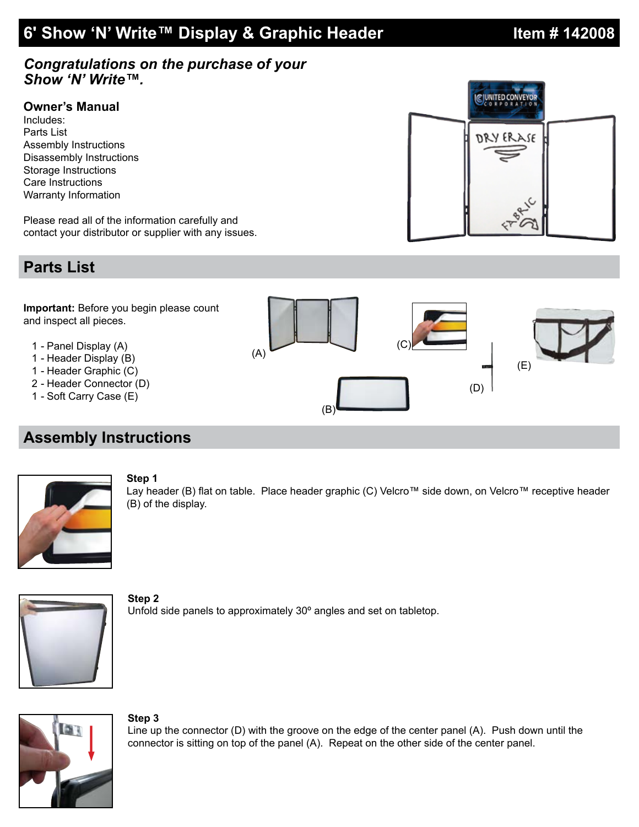# **6' Show 'N' Write™ Display & Graphic Header Item # 142008**

### *Congratulations on the purchase of your Show 'N' Write™.*

### **Owner's Manual**

Includes: Parts List Assembly Instructions Disassembly Instructions Storage Instructions Care Instructions Warranty Information

Please read all of the information carefully and contact your distributor or supplier with any issues.

## **Parts List**

**Important:** Before you begin please count and inspect all pieces.

- 1 Panel Display (A)
- 1 Header Display (B)
- 1 Header Graphic (C)
- 2 Header Connector (D)
- 1 Soft Carry Case (E)

## **Assembly Instructions**



**Step 1** Lay header (B) flat on table. Place header graphic (C) Velcro™ side down, on Velcro™ receptive header (B) of the display.



**Step 2** Unfold side panels to approximately 30º angles and set on tabletop.



#### **Step 3**

Line up the connector (D) with the groove on the edge of the center panel (A). Push down until the connector is sitting on top of the panel (A). Repeat on the other side of the center panel.